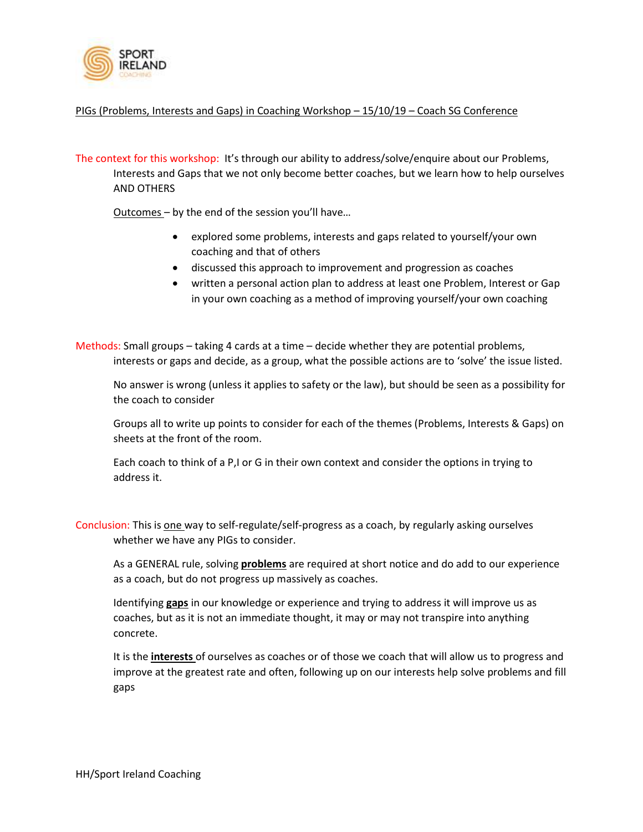

## PIGs (Problems, Interests and Gaps) in Coaching Workshop – 15/10/19 – Coach SG Conference

The context for this workshop: It's through our ability to address/solve/enquire about our Problems, Interests and Gaps that we not only become better coaches, but we learn how to help ourselves AND OTHERS

Outcomes – by the end of the session you'll have…

- explored some problems, interests and gaps related to yourself/your own coaching and that of others
- discussed this approach to improvement and progression as coaches
- written a personal action plan to address at least one Problem, Interest or Gap in your own coaching as a method of improving yourself/your own coaching

Methods: Small groups – taking 4 cards at a time – decide whether they are potential problems, interests or gaps and decide, as a group, what the possible actions are to 'solve' the issue listed.

No answer is wrong (unless it applies to safety or the law), but should be seen as a possibility for the coach to consider

Groups all to write up points to consider for each of the themes (Problems, Interests & Gaps) on sheets at the front of the room.

Each coach to think of a P,I or G in their own context and consider the options in trying to address it.

Conclusion: This is one way to self-regulate/self-progress as a coach, by regularly asking ourselves whether we have any PIGs to consider.

As a GENERAL rule, solving **problems** are required at short notice and do add to our experience as a coach, but do not progress up massively as coaches.

Identifying **gaps** in our knowledge or experience and trying to address it will improve us as coaches, but as it is not an immediate thought, it may or may not transpire into anything concrete.

It is the **interests** of ourselves as coaches or of those we coach that will allow us to progress and improve at the greatest rate and often, following up on our interests help solve problems and fill gaps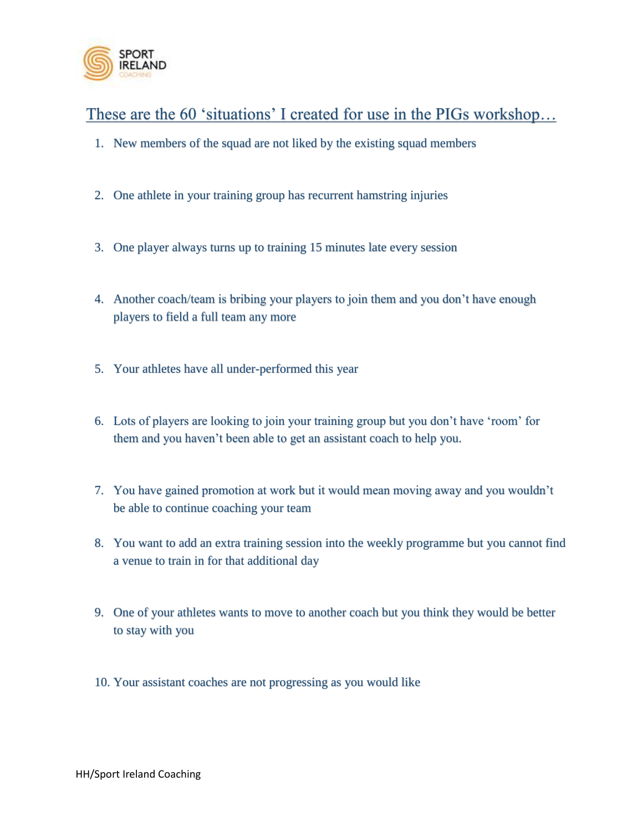

These are the 60 'situations' I created for use in the PIGs workshop…

- 1. New members of the squad are not liked by the existing squad members
- 2. One athlete in your training group has recurrent hamstring injuries
- 3. One player always turns up to training 15 minutes late every session
- 4. Another coach/team is bribing your players to join them and you don't have enough players to field a full team any more
- 5. Your athletes have all under-performed this year
- 6. Lots of players are looking to join your training group but you don't have 'room' for them and you haven't been able to get an assistant coach to help you.
- 7. You have gained promotion at work but it would mean moving away and you wouldn't be able to continue coaching your team
- 8. You want to add an extra training session into the weekly programme but you cannot find a venue to train in for that additional day
- 9. One of your athletes wants to move to another coach but you think they would be better to stay with you
- 10. Your assistant coaches are not progressing as you would like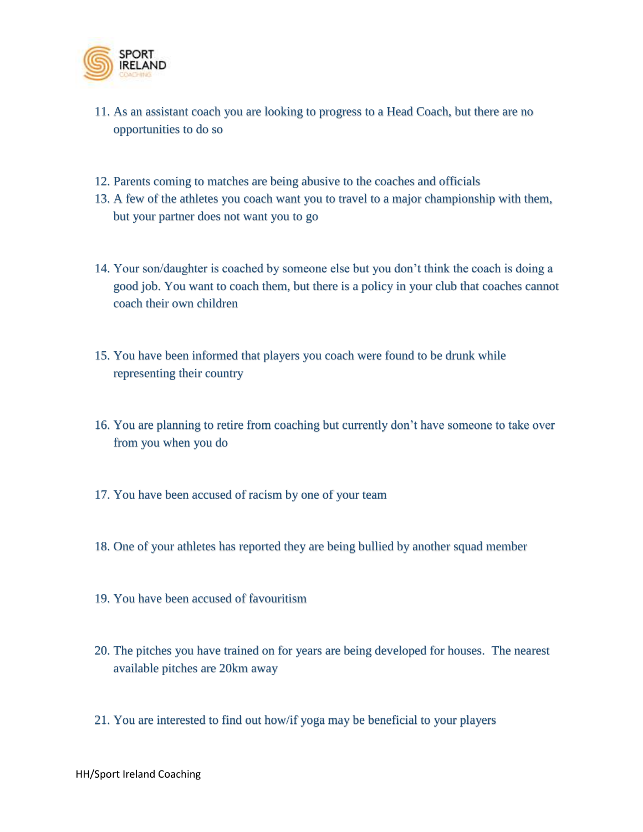

- 11. As an assistant coach you are looking to progress to a Head Coach, but there are no opportunities to do so
- 12. Parents coming to matches are being abusive to the coaches and officials
- 13. A few of the athletes you coach want you to travel to a major championship with them, but your partner does not want you to go
- 14. Your son/daughter is coached by someone else but you don't think the coach is doing a good job. You want to coach them, but there is a policy in your club that coaches cannot coach their own children
- 15. You have been informed that players you coach were found to be drunk while representing their country
- 16. You are planning to retire from coaching but currently don't have someone to take over from you when you do
- 17. You have been accused of racism by one of your team
- 18. One of your athletes has reported they are being bullied by another squad member
- 19. You have been accused of favouritism
- 20. The pitches you have trained on for years are being developed for houses. The nearest available pitches are 20km away
- 21. You are interested to find out how/if yoga may be beneficial to your players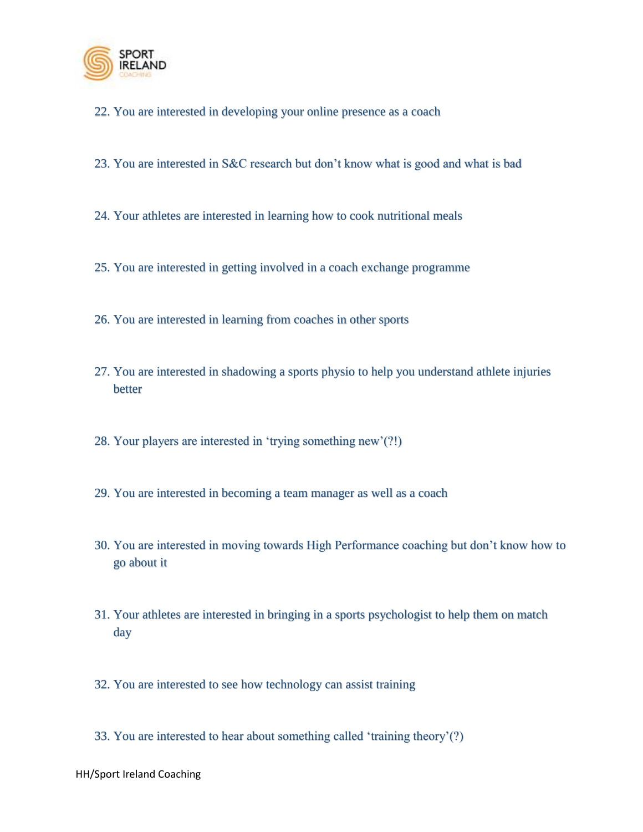

- 22. You are interested in developing your online presence as a coach
- 23. You are interested in S&C research but don't know what is good and what is bad
- 24. Your athletes are interested in learning how to cook nutritional meals
- 25. You are interested in getting involved in a coach exchange programme
- 26. You are interested in learning from coaches in other sports
- 27. You are interested in shadowing a sports physio to help you understand athlete injuries better
- 28. Your players are interested in 'trying something new'(?!)
- 29. You are interested in becoming a team manager as well as a coach
- 30. You are interested in moving towards High Performance coaching but don't know how to go about it
- 31. Your athletes are interested in bringing in a sports psychologist to help them on match day
- 32. You are interested to see how technology can assist training
- 33. You are interested to hear about something called 'training theory'(?)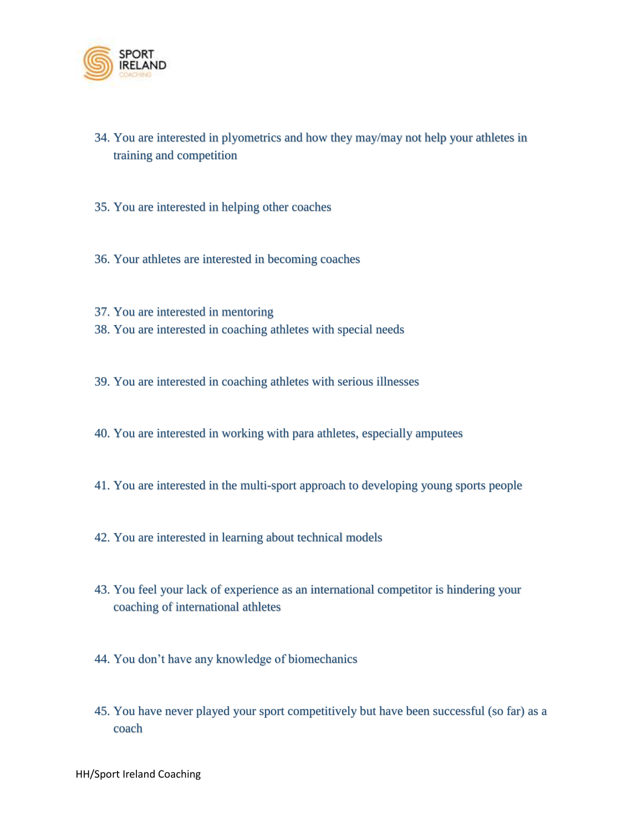

- 34. You are interested in plyometrics and how they may/may not help your athletes in training and competition
- 35. You are interested in helping other coaches
- 36. Your athletes are interested in becoming coaches
- 37. You are interested in mentoring 38. You are interested in coaching athletes with special needs
- 39. You are interested in coaching athletes with serious illnesses
- 40. You are interested in working with para athletes, especially amputees
- 41. You are interested in the multi-sport approach to developing young sports people
- 42. You are interested in learning about technical models
- 43. You feel your lack of experience as an international competitor is hindering your coaching of international athletes
- 44. You don't have any knowledge of biomechanics
- 45. You have never played your sport competitively but have been successful (so far) as a coach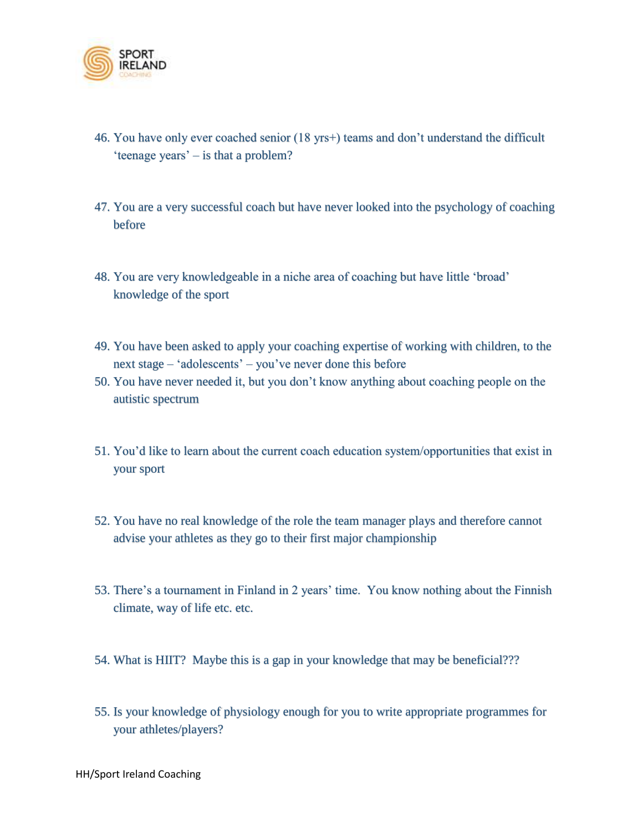

- 46. You have only ever coached senior (18 yrs+) teams and don't understand the difficult 'teenage years' – is that a problem?
- 47. You are a very successful coach but have never looked into the psychology of coaching before
- 48. You are very knowledgeable in a niche area of coaching but have little 'broad' knowledge of the sport
- 49. You have been asked to apply your coaching expertise of working with children, to the next stage – 'adolescents' – you've never done this before
- 50. You have never needed it, but you don't know anything about coaching people on the autistic spectrum
- 51. You'd like to learn about the current coach education system/opportunities that exist in your sport
- 52. You have no real knowledge of the role the team manager plays and therefore cannot advise your athletes as they go to their first major championship
- 53. There's a tournament in Finland in 2 years' time. You know nothing about the Finnish climate, way of life etc. etc.
- 54. What is HIIT? Maybe this is a gap in your knowledge that may be beneficial???
- 55. Is your knowledge of physiology enough for you to write appropriate programmes for your athletes/players?